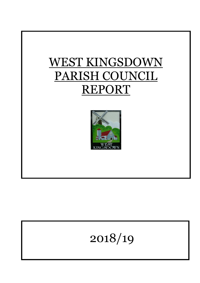



# 2018/19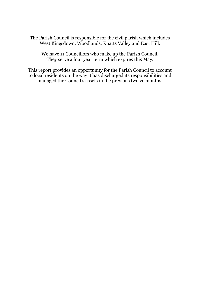The Parish Council is responsible for the civil parish which includes West Kingsdown, Woodlands, Knatts Valley and East Hill.

We have 11 Councillors who make up the Parish Council. They serve a four year term which expires this May.

This report provides an opportunity for the Parish Council to account to local residents on the way it has discharged its responsibilities and managed the Council's assets in the previous twelve months.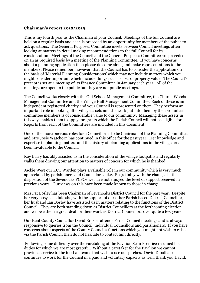#### **Chairman's report 2018/2019.**

This is my fourth year as the Chairman of your Council. Meetings of the full Council are held on a regular basis and each is preceded by an opportunity for members of the public to ask questions. The General Purposes Committee meets between Council meetings often looking at matters in detail making recommendations to the full Council for its consideration. Meetings of the Council and the General Purposes Committee are preceded on an as required basis by a meeting of the Planning Committee. If you have concerns about a planning application then please do come along and make representations to the members. Please remember, however, that the Council has to consider the application on the basis of 'Material Planning Considerations' which may not include matters which you might consider important which include things such as loss of property value. The Council's precept is set at a meeting of its Finance Committee in January each year. All of the meetings are open to the public but they are not public meetings.

The Council works closely with the Old School Management Committee, the Church Woods Management Committee and the Village Hall Management Committee. Each of these is an independent registered charity and your Council is represented on them. They perform an important role in looking after village assets and the work put into them by their volunteer committee members is of considerable value to our community. Managing these assets in this way enables them to apply for grants which the Parish Council will not be eligible for. Reports from each of the Committees are included in this document.

One of the more onerous roles for a Councillor is to be Chairman of the Planning Committee and Mrs Josie Watchorn has continued in this office for the past year. Her knowledge and expertise in planning matters and the history of planning applications in the village has been invaluable to the Council.

Roy Barry has ably assisted us in the consideration of the village footpaths and regularly walks them drawing our attention to matters of concern for which he is thanked.

Jackie West our KCC Warden plays a valuable role in our community which is very much appreciated by parishioners and Councillors alike. Regrettably with the changes in the disposition of the Sevenoaks PCSOs we have not enjoyed the level of support received in previous years. Our views on this have been made known to those in charge.

Mrs Pat Bosley has been Chairman of Sevenoaks District Council for the past year. Despite her very busy schedule she, with the support of our other Parish based District Councillor, her husband Ian Bosley have assisted us in matters relating to the functions of the District Council. They are both standing down as District Councillors at the forthcoming election and we owe them a great deal for their work as District Councillors over quite a few years.

Our Kent County Councillor David Brazier attends Parish Council meetings and is always responsive to queries from the Council, individual Councillors and parishioners. If you have concerns about aspects of the County Council's functions which you might not wish to raise via the Parish Council then do not hesitate to contact him directly.

Following some difficulty over the caretaking of the Pavilion Sean Prentice resumed his duties for which we are most grateful. Without a caretaker for the Pavilion we cannot provide a service to the football teams that wish to use our pitches. David Diboll also continues to work for the Council in a paid and voluntary capacity as well, thank you David.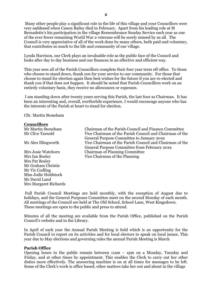Many other people play a significant role in the life of this village and your Councillors were very saddened when Canon Bailey died in February. Apart from his leading role at St Bernadette's his participation in the village Remembrance Sunday Service each year as one of the ever fewer remaining World War 2 veterans will be sorely missed by us all. The Council is very appreciative of all of the work done by many others, both paid and voluntary, that contributes so much to the life and community of our village.

Lynda Harrison, our Clerk plays an invaluable role as the public face of the Council and looks after day to day business and our finances in an effective and efficient way.

This year sees all of the Parish Councillors complete their four year term off office. To those who choose to stand down, thank you for your service to our community. For those that choose to stand for election again then best wishes for the future if you are re-elected and thank you if that does not happen. It should be noted that Parish Councillors work on an entirely voluntary basis, they receive no allowances or expenses.

I am standing down after twenty years serving this Parish, the last four as Chairman. It has been an interesting and, overall, worthwhile experience. I would encourage anyone who has the interests of the Parish at heart to stand for election.

Cllr. Martin Stoneham

#### **Councillors**

| Mr Martin Stoneham    | Chairman of the Parish Council and Finance Committee    |
|-----------------------|---------------------------------------------------------|
| Mr Clive Yarnold      | Vice Chairman of the Parish Council and Chairman of the |
|                       | General Purpose Committee to January 2019               |
| Mr Alex Illingworth   | Vice Chairman of the Parish Council and Chairman of the |
|                       | General Purpose Committee from February 2019            |
| Mrs Josie Watchorn    | <b>Chairman of Planning Committee</b>                   |
| Mrs Ian Bosley        | Vice Chairman of the Planning                           |
| Mrs Pat Bosley        |                                                         |
| Mr Graham Christie    |                                                         |
| Mr Vic Codling        |                                                         |
| Miss Jodie Holdstock  |                                                         |
| Mr David Land         |                                                         |
| Mrs Margaret Richards |                                                         |

Full Parish Council Meetings are held monthly, with the exception of August due to holidays, and the General Purposes Committee meet on the second Monday of each month. All meetings of the Council are held at The Old School, School Lane, West Kingsdown. These meetings are open to the public and press to attend.

Minutes of all the meeting are available from the Parish Office, published on the Parish Council's website and in the Library.

In April of each year the Annual Parish Meeting is held which is an opportunity for the Parish Council to report on its activities and for local electors to speak on local issues. This year due to May elections and governing rules the annual Parish Meeting is March

#### **Parish Office**

Opening hours to the public remain between 11am – 1pm on a Monday, Tuesday and Friday, and at other times by appointment. This enables the Clerk to carry out her other duties more effectively. The answering machine is on at all times for messages to be left. Some of the Clerk's work is office based; other matters take her out and about in the village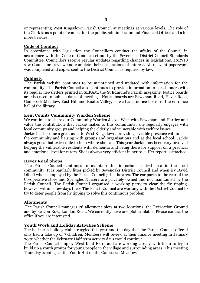or representing West Kingsdown Parish Council at meetings at various levels. The role of the Clerk is as a point of contact for the public, administrator and Financial Officer and a lot more besides.

#### **Code of Conduct**

In accordance with legislation the Councillors conduct the affairs of the Council in accordance with the Code of Conduct set out by the Sevenoaks District Council Standards Committee. Councillors receive regular updates regarding changes in legislations. 2017/18 saw Councillors review and complete their declarations of interest. All relevant paperwork was completed and copies sent to the District Council as required by law.

#### **Publicity**

The Parish website continues to be maintained and updated with information for the community. The Parish Council also continues to provide information to parishioners with its regular newsletters printed in SEKAM, the St Edmund's Parish magazine. Notice boards are also used to publish dates of meetings. Notice boards are Fawkham Road, Hever Road, Gamecock Meadow, East Hill and Knatts Valley, as well as a notice board in the entrance hall of the library.

#### **Kent County Community Warden Scheme**

We continue to share our Community Warden Jackie West with Fawkham and Hartley and value the contribution that Jackie makes to this community, she regularly engages with local community groups and helping the elderly and vulnerable with welfare issues. Jackie has become a great asset to West Kingsdown, providing a visible presence within the community and liaising with groups and organisations and at the local school. Jackie always goes that extra mile to help where she can. This year Jackie has been very involved helping the vulnerable residents with dementia and being there for support on a practical and emotional level for carers. She is always very efficient in her role. Her report is attached.

#### **Hever Road Shops**

The Parish Council continues to maintain this important central area in the local community. It is regularly litter picked by Sevenoaks District Council and when icy David Diboll who is employed by the Parish Council grits the area. The car parks to the rear of the Co-operative store and Springles Nursery are privately owned and not maintained by the Parish Council. The Parish Council organised a working party to clear the fly tipping, however within a few days there The Parish Council are working with the District Council to try to deter people from fly tipping to solve this continuous problem.

#### **Allotments**

The Parish Council manages 26 allotment plots at two locations, the Recreation Ground and by Beacon Row, London Road. We currently have one plot available. Please contact the office if you are interested.

## **Youth Work and Holiday Activities Scheme**

The half term holiday club struggled this year and the day that the Parish Council offered only had a take up of 7 children. Members will review at their finance meeting in January 2020 whether the February Half term activity days would continue.

The Parish Council employ West Kent Extra and are working closely with them to try to build up a youth groups for young people in the village and surrounding areas. This meeting Thursday evenings at the Youth Hut on the Gamecock Meadow.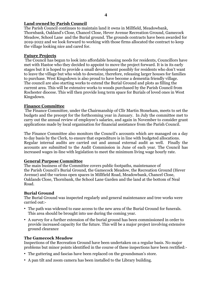## **Land owned by Parish Council**

The Parish Council continues to maintain land it owns in Millfield, Meadowbank, Thornbank, Oakland's Close, Chancel Close, Hever Avenue Recreation Ground, Gamecock Meadow, School Lane and the Burial ground. The grounds contracts have been awarded for 2019-2022 and we look forward to working with those firms allocated the contract to keep the village looking nice and cared for.

## **Future Projects**

The Council has begun to look into affordable housing needs for residents, Councillors have met with Hastoe who they decided to appoint to move the project forward. It is in its early stages but it is hoped to provide a small development possibly for residents who don't want to leave the village but who wish to downsize, therefore, releasing larger houses for families to purchase. West Kingsdown is also proud to have become a dementia friendly village. The council are also starting works to extend the Burial Ground and plots as filling the current area. This will be extensive works to woods purchased by the Parish Council from Rochester diocese. This will then provide long term space for Burials of loved ones in West Kingsdown.

## **Finance Committee**

The Finance Committee, under the Chairmanship of Cllr Martin Stoneham, meets to set the budgets and the precept for the forthcoming year in January. In July the committee met to carry out the annual review of employee's salaries, and again in November to consider grant applications made by local organisation for financial assistance from the Parish Council.

The Finance Committee also monitors the Council's accounts which are managed on a day to day basis by the Clerk, to ensure that expenditure is in line with budgeted allocations. Regular internal audits are carried out and annual external audit as well. Finally the accounts are submitted to the Audit Commission in June of each year. The Council has increased wages in-line with legislation to meet the minimum living wage hourly rate.

## **General Purpose Committee**

The main business of the Committee covers public footpaths, maintenance of the Parish Council's Burial Ground, the Gamecock Meadow, the Recreation Ground (Hever Avenue) and the various open spaces in Millfield Road, Meadowbank, Chancel Close, Oaklands Close, Thornbank, the School Lane Garden and the land at the bottom of Neal Road.

## **Burial Ground**

The Burial Ground was inspected regularly and general maintenance and tree works were carried out:-

- The path was widened to ease access to the new area of the Burial Ground for funerals. This area should be brought into use during the coming year.
- A survey for a further extension of the burial ground has been commissioned in order to provide increased capacity for the future. This will be a major project involving extensive ground clearance

## **The Gamecock Meadow**

Inspections of the Recreation Ground have been undertaken on a regular basis. No major problems but minor points identified in the course of these inspections have been rectified:-

- The guttering and fascias have been replaced on the groundsman's store.
- A pan tilt and zoom camera has been installed to the Library building.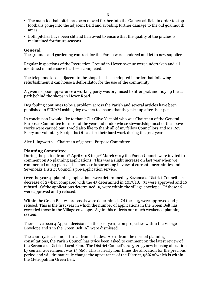- The main football pitch has been moved further into the Gamecock field in order to stop footballs going into the adjacent field and avoiding further damage to the old goalmouth areas.
- Both pitches have been slit and harrowed to ensure that the quality of the pitches is maintained for future seasons.

### **General**

The grounds and gardening contract for the Parish were tendered and let to new suppliers.

Regular inspections of the Recreation Ground in Hever Avenue were undertaken and all identified maintenance has been completed.

The telephone kiosk adjacent to the shops has been adopted in order that following refurbishment it can house a defibrillator for the use of the community.

A given its poor appearance a working party was organised to litter pick and tidy up the car park behind the shops in Hever Road.

Dog fouling continues to be a problem across the Parish and several articles have been published in SEKAM asking dog owners to ensure that they pick up after their pets.

In conclusion I would like to thank Cllr Clive Yarnold who was Chairman of the General Purposes Committee for most of the year and under whose stewardship most of the above works were carried out. I wold also like to thank all of my fellow Councillors and Mr Roy Barry our voluntary Footpaths Officer for their hard work during the past year.

Alex Illingworth – Chairman of general Purpose Committee

#### **Planning Committee**

During the period from 1st April 2018 to 31st March 2019 the Parish Council were invited to comment on 50 planning applications. This was a slight increase on last year when we commented on 43 plans. This increase is surprising in view of current uncertainties and Sevenoaks District Council's pre-application service.

Over the year 41 planning applications were determined by Sevenoaks District Council – a decrease of 2 when compared with the 43 determined in 2017/18. 31 were approved and 10 refused. Of the applications determined, 19 were within the village envelope. Of these 16 were approved and 3 refused.

Within the Green Belt 22 proposals were determined. Of these 15 were approved and 7 refused. This is the first year in which the number of applications in the Green Belt has exceeded those in the Village envelope. Again this reflects our much weakened planning system.

There have been 4 Appeal decisions in the past year, 2 on properties within the Village Envelope and 2 in the Green Belt. All were dismissed.

The countryside is under threat from all sides. Apart from the normal planning consultations, the Parish Council has twice been asked to comment on the latest review of the Sevenoaks District Local Plan. The District Council's 2015-2035 new housing allocation by central Government was 13,960. This is nearly four times the allocation for the previous period and will dramatically change the appearance of the District, 96% of which is within the Metropolitan Green Belt.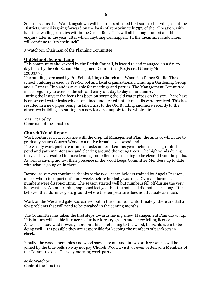So far it seems that West Kingsdown will be far less affected that some other villages but the District Council is going forward on the basis of approximately 75% of the allocation, with half the dwellings on sites within the Green Belt. This will all be fought out at a public enquiry later in the year, after which anything can happen. In the meantime landowners will continue to "try their luck".

J Watchorn Chairman of the Planning Committee

## **Old School, School Lane**

This community site, owned by the Parish Council, is leased to and managed on a day to day basis by the Old School Management Committee [Registered Charity No. 1088339].

The buildings are used by Pre-School, Kings Church and Woodside Dance Studio. The old school building is used by Pre-School and local organisations, including a Gardening Group and a Camera Club and is available for meetings and parties. The Management Committee meets regularly to oversee the site and carry out day to day maintenance.

During the last year the focus has been on sorting the old water pipes on the site. There have been several water leaks which remained undetected until large bills were received. This has resulted in a new pipes being installed first to the Old Building and more recently to the other two buildings, resulting in a new leak free supply to the whole site.

Mrs Pat Bosley,

Chairman of the Trustees

## **Church Wood Report**

Work continues in accordance with the original Management Plan, the aims of which are to gradually return Church Wood to a native broadleaved woodland.

The weekly work parties continue. Tasks undertaken this year include clearing rubbish, pond and path maintenance and clearing around the young trees. The high winds during the year have resulted in more leaning and fallen trees needing to be cleared from the paths. As well as saving money, their presence in the wood keeps Committee Members up to date with what is going on in there.

Dormouse surveys continued thanks to the two licence holders trained by Angela Pearson, one of whom took part until four weeks before her baby was due. Over all dormouse numbers were disappointing. The season started well but numbers fell off during the very hot weather. A similar thing happened last year but the hot spell did not last as long. It is believed that dormice go to ground where the temperature does not fluctuate as much.

Work on the Westfield gate was carried out in the summer. Unfortunately, there are still a few problems that will need to be tweaked in the coming months.

The Committee has taken the first steps towards having a new Management Plan drawn up. This in turn will enable it to access further forestry grants and a new felling licence. As well as more wild flowers, more bird life is returning to the wood, buzzards seem to be doing well. It is possible they are responsible for keeping the numbers of parakeets in check.

Finally, the wood anemonies and wood sorrel are out and, in two or three weeks will be joined by the blue bells so why not pay Church Wood a visit, or even better, join Members of the Committee on a Tuesday morning work party.

Josie Watchorn Chair of the Trustees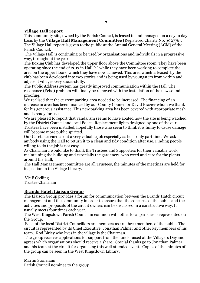## **Village Hall report**

This community site, owned by the Parish Council, is leased to and managed on a day to day basis by the **Village Hall Management Committee** [Registered Charity No. 302776]. The Village Hall report is given to the public at the Annual General Meeting (AGM) of the Parish Council.

The Village Hall is continuing to be used by organisations and individuals in a progressive way, throughout the year.

The Boxing Club has developed the upper floor above the Committee room. They have been operating since the end of 2017 in Hall "1" while they have been working to complete the area on the upper floors, which they have now achieved. This area which is leased by the club has been developed into two stories and is being used by youngsters from within and adjacent villages very successfully.

The Public Address system has greatly improved communication within the Hall. The resonance (Echo) problem will finally be removed with the installation of the new sound proofing.

We realised that the current parking area needed to be increased. The financing of an increase in area has been financed by our County Councillor David Brazier whom we thank for his generous assistance. This new parking area has been covered with appropriate mesh and is ready for use.

We are pleased to report that vandalism seems to have abated now the site is being watched by the District Council and local Police. Replacement lights designed by one of the our Trustees have been installed, hopefully those who seem to think it is funny to cause damage will become more public spirited.

Our Caretaker carries out a very valuable job especially as he is only part time. We ask anybody using the Hall to return it to a clean and tidy condition after use. Finding people willing to do the job is not easy.

As Chairman I would like to thank the Trustees and Supporters for their valuable work maintaining the building and especially the gardeners, who weed and care for the plants around the Hall,

The Hall Management committee are all Trustees, the minutes of the meetings are held for inspection in the Village Library.

Vic F Codling Trustee Chairman

## **Brands Hatch Liaison Group**

The Liaison Group provides a forum for communication between the Brands Hatch circuit management and the community in order to ensure that the concerns of the public and the activities and proposals of the circuit owners can be discussed in a constructive way. It usually meets four times each year.

The West Kingsdown Parish Council in common with other local parishes is represented on the Group.

Each of the local District Councillors are members as are three members of the public. The circuit is represented by its Chief Executive, Jonathan Palmer and other key members of his team. Rod Birley who lives in the village is the Chairman.

The group receives applications for support from the funds raised at the Villagers Day and agrees which organisations should receive a share. Special thanks go to Jonathan Palmer and his team at the circuit for organising this well attended event. Copies of the minutes of the group can be seen in the West Kingsdown Library.

Martin Stoneham Parish Council nominee to the group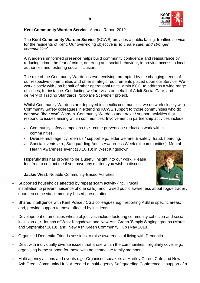

## **Kent Community Warden Service**: Annual Report 2019

The **Kent Community Warden Service** (KCWS) provides a public facing, frontline service for the residents of Kent. Our over-riding objective is *'to create safer and stronger communities'.* 

A Warden's uniformed presence helps build community confidence and reassurance by reducing crime, the fear of crime, deterring anti-social behaviour, improving access to local authorities and fostering social inclusion.

The role of the Community Warden is ever evolving, prompted by the changing needs of our respective communities and other strategic requirements placed upon our Service. We work closely with / on behalf of other operational units within KCC, to address a wide range of issues, for instance: Conducting welfare visits on behalf of Adult Social Care; and, delivery of Trading Standards' *'Stop the Scammer'* project.

Whilst Community Wardens are deployed in specific communities, we do work closely with Community Safety colleagues in extending KCWS support to those communities who do not have "their own" Warden. Community Wardens undertake / support activities that respond to issues arising within communities. Involvement in partnership activities include:

- Community safety campaigns *e.g.,* crime prevention / reduction work within communities.
- Diverse multi-agency referrals / support *e.g.,* elder welfare, E-safety, fraud, hoarding.
- Special events *e.g.,* Safeguarding Adults Awareness Week (all communities), Mental Health Awareness event (10.10.18) in West Kingsdown.

Hopefully this has proved to be a useful insight into our work. Please feel free to contact me if you have any matters you wish to discuss.



## **Jackie West**: Notable Community-Based Activities

- Supported households affected by repeat scam activity (inc. Trucall installation to prevent nuisance phone calls); and, raised public awareness about rogue trader / doorstep crime via community-based presentations*.*
- Shared intelligence with Kent Police / CSU colleagues *e.g.,* reporting ASB in specific areas; and, providd support to those affected by incidents.
- Development of amenities whose objectives include fostering community cohesion and social inclusion *e.g.,* launch of West Kingsdown and New Ash Green 'Simply Singing' groups (March and September 2018), and, New Ash Green Community Hub (May 2018).
- Organised Dementia Friends sessions to raise awareness of living with Dementia.
- Dealt with individually diverse issues that arose within the communities I regularly cover *e.g.,* organising home support for those with no immediate family members.
- Multi-agency actions and events *e.g.,* Organised speakers at Hartley Carers Café and New Ash Green Community Hub; Attended a multi-agency Safeguarding Conference in support of a